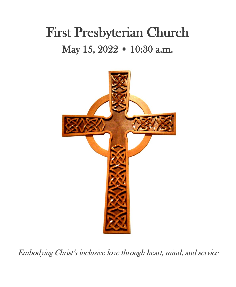# First Presbyterian Church May 15, 2022 • 10:30 a.m.



Embodying Christ's inclusive love through heart, mind, and service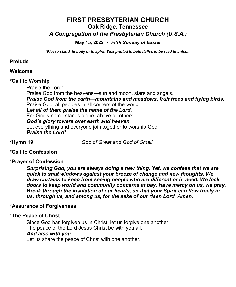# **FIRST PRESBYTERIAN CHURCH Oak Ridge, Tennessee**

# *A Congregation of the Presbyterian Church (U.S.A.)*

## **May 15, 2022** *Fifth Sunday of Easter*

*\*Please stand, in body or in spirit. Text printed in bold italics to be read in unison.*

## **Prelude**

## **Welcome**

#### **\*Call to Worship**

Praise the Lord!

Praise God from the heavens—sun and moon, stars and angels.

*Praise God from the earth—mountains and meadows, fruit trees and flying birds.* Praise God, all peoples in all corners of the world.

## *Let all of them praise the name of the Lord.*

For God's name stands alone, above all others.

## *God's glory towers over earth and heaven.*

Let everything and everyone join together to worship God! *Praise the Lord!*

**\*Hymn 19** *God of Great and God of Small* 

# \***Call to Confession**

## **\*Prayer of Confession**

*Surprising God, you are always doing a new thing. Yet, we confess that we are quick to shut windows against your breeze of change and new thoughts. We draw curtains to keep from seeing people who are different or in need. We lock doors to keep world and community concerns at bay. Have mercy on us, we pray. Break through the insulation of our hearts, so that your Spirit can flow freely in us, through us, and among us, for the sake of our risen Lord. Amen.*

## \***Assurance of Forgiveness**

## \***The Peace of Christ**

Since God has forgiven us in Christ, let us forgive one another. The peace of the Lord Jesus Christ be with you all. *And also with you***.** Let us share the peace of Christ with one another.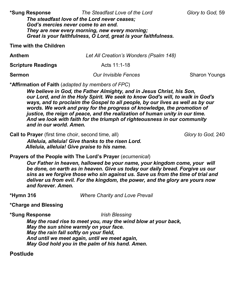**\*Sung Response** *The Steadfast Love of the Lord Glory to God,* 59

*The steadfast love of the Lord never ceases; God's mercies never come to an end. They are new every morning, new every morning; Great is your faithfulness, O Lord, great is your faithfulness.*

**Time with the Children**

| <b>Anthem</b>             | Let All Creation's Wonders (Psalm 148) |                      |
|---------------------------|----------------------------------------|----------------------|
| <b>Scripture Readings</b> | Acts 11:1-18                           |                      |
| <b>Sermon</b>             | <b>Our Invisible Fences</b>            | <b>Sharon Youngs</b> |

**\*Affirmation of Faith** (*adapted by members of FPC*)

*We believe in God, the Father Almighty, and in Jesus Christ, his Son, our Lord, and in the Holy Spirit. We seek to know God's will, to walk in God's ways, and to proclaim the Gospel to all people, by our lives as well as by our words. We work and pray for the progress of knowledge, the promotion of justice, the reign of peace, and the realization of human unity in our time. And we look with faith for the triumph of righteousness in our community and in our world. Amen.*

**Call to Prayer** (first time choir, second time, all) *Glory to God, 240 Alleluia, alleluia! Give thanks to the risen Lord. Alleluia, alleluia! Give praise to his name.*

**Prayers of the People with The Lord's Prayer** (*ecumenical*)

*Our Father in heaven, hallowed be your name, your kingdom come, your will be done, on earth as in heaven. Give us today our daily bread. Forgive us our sins as we forgive those who sin against us. Save us from the time of trial and deliver us from evil. For the kingdom, the power, and the glory are yours now and forever. Amen.*

**\*Hymn 316** *Where Charity and Love Prevail*

**\*Charge and Blessing**

**\*Sung Response** *Irish Blessing* 

*May the road rise to meet you, may the wind blow at your back, May the sun shine warmly on your face. May the rain fall softly on your field, And until we meet again, until we meet again, May God hold you in the palm of his hand. Amen.*

**Postlude**